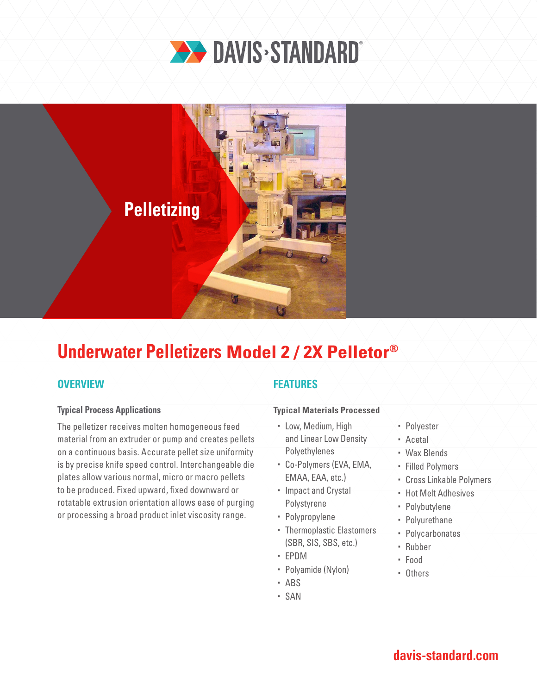



# **Underwater Pelletizers Model 2 / 2X Pelletor®**

## **OVERVIEW**

### **Typical Process Applications**

The pelletizer receives molten homogeneous feed material from an extruder or pump and creates pellets on a continuous basis. Accurate pellet size uniformity is by precise knife speed control. Interchangeable die plates allow various normal, micro or macro pellets to be produced. Fixed upward, fixed downward or rotatable extrusion orientation allows ease of purging or processing a broad product inlet viscosity range.

## **FEATURES**

### **Typical Materials Processed**

- Low, Medium, High and Linear Low Density Polyethylenes
- Co-Polymers (EVA, EMA, EMAA, EAA, etc.)
- Impact and Crystal Polystyrene
- Polypropylene
- Thermoplastic Elastomers (SBR, SIS, SBS, etc.)
- EPDM
- Polyamide (Nylon)
- ABS
- SAN
- Polyester
- Acetal
- Wax Blends
- Filled Polymers
- Cross Linkable Polymers
- Hot Melt Adhesives
- Polybutylene
- Polyurethane
- Polycarbonates
- Rubber
- Food
- Others

# **davis-standard.com**